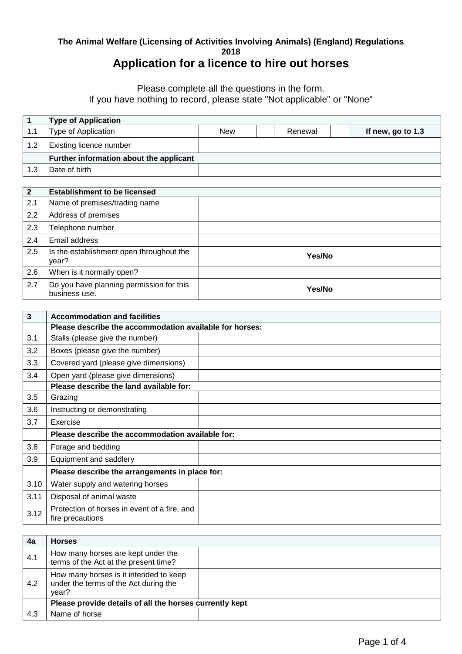## **The Animal Welfare (Licensing of Activities Involving Animals) (England) Regulations 2018**

## **Application for a licence to hire out horses**

Please complete all the questions in the form.

If you have nothing to record, please state "Not applicable" or "None"

|     | <b>Type of Application</b>              |            |         |                   |
|-----|-----------------------------------------|------------|---------|-------------------|
| 1.1 | Type of Application                     | <b>New</b> | Renewal | If new, go to 1.3 |
| 1.2 | Existing licence number                 |            |         |                   |
|     | Further information about the applicant |            |         |                   |
| 1.3 | Date of birth                           |            |         |                   |

| $\overline{2}$ | <b>Establishment to be licensed</b>                       |        |
|----------------|-----------------------------------------------------------|--------|
| 2.1            | Name of premises/trading name                             |        |
| 2.2            | Address of premises                                       |        |
| 2.3            | Telephone number                                          |        |
| 2.4            | Email address                                             |        |
| 2.5            | Is the establishment open throughout the<br>year?         | Yes/No |
| 2.6            | When is it normally open?                                 |        |
| 2.7            | Do you have planning permission for this<br>business use. | Yes/No |

| $\mathbf{3}$ | <b>Accommodation and facilities</b>                              |  |
|--------------|------------------------------------------------------------------|--|
|              | Please describe the accommodation available for horses:          |  |
| 3.1          | Stalls (please give the number)                                  |  |
| 3.2          | Boxes (please give the number)                                   |  |
| 3.3          | Covered yard (please give dimensions)                            |  |
| 3.4          | Open yard (please give dimensions)                               |  |
|              | Please describe the land available for:                          |  |
| 3.5          | Grazing                                                          |  |
| 3.6          | Instructing or demonstrating                                     |  |
| 3.7          | Exercise                                                         |  |
|              | Please describe the accommodation available for:                 |  |
| 3.8          | Forage and bedding                                               |  |
| 3.9          | Equipment and saddlery                                           |  |
|              | Please describe the arrangements in place for:                   |  |
| 3.10         | Water supply and watering horses                                 |  |
| 3.11         | Disposal of animal waste                                         |  |
| 3.12         | Protection of horses in event of a fire, and<br>fire precautions |  |

| 4a  | <b>Horses</b>                                                                            |  |
|-----|------------------------------------------------------------------------------------------|--|
| 4.1 | How many horses are kept under the<br>terms of the Act at the present time?              |  |
| 4.2 | How many horses is it intended to keep<br>under the terms of the Act during the<br>year? |  |
|     | Please provide details of all the horses currently kept                                  |  |
| 4.3 | Name of horse                                                                            |  |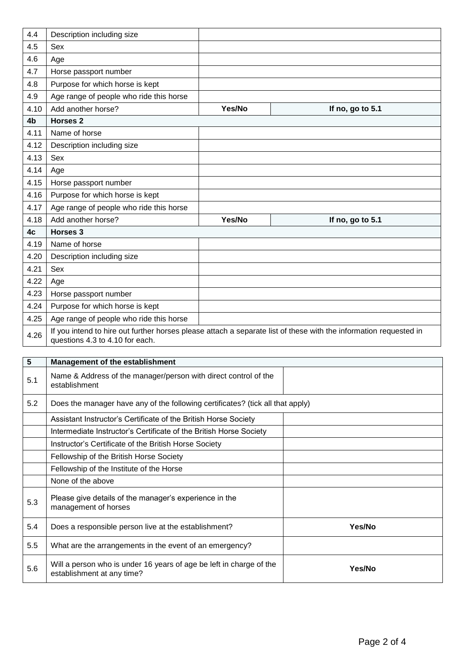| 4.4            | Description including size              |        |                                                                                                                   |
|----------------|-----------------------------------------|--------|-------------------------------------------------------------------------------------------------------------------|
| 4.5            | Sex                                     |        |                                                                                                                   |
| 4.6            | Age                                     |        |                                                                                                                   |
| 4.7            | Horse passport number                   |        |                                                                                                                   |
| 4.8            | Purpose for which horse is kept         |        |                                                                                                                   |
| 4.9            | Age range of people who ride this horse |        |                                                                                                                   |
| 4.10           | Add another horse?                      | Yes/No | If no, go to 5.1                                                                                                  |
| 4 <sub>b</sub> | <b>Horses 2</b>                         |        |                                                                                                                   |
| 4.11           | Name of horse                           |        |                                                                                                                   |
| 4.12           | Description including size              |        |                                                                                                                   |
| 4.13           | Sex                                     |        |                                                                                                                   |
| 4.14           | Age                                     |        |                                                                                                                   |
| 4.15           | Horse passport number                   |        |                                                                                                                   |
| 4.16           | Purpose for which horse is kept         |        |                                                                                                                   |
| 4.17           | Age range of people who ride this horse |        |                                                                                                                   |
| 4.18           | Add another horse?                      | Yes/No | If no, go to 5.1                                                                                                  |
| 4c             | Horses 3                                |        |                                                                                                                   |
| 4.19           | Name of horse                           |        |                                                                                                                   |
| 4.20           | Description including size              |        |                                                                                                                   |
| 4.21           | Sex                                     |        |                                                                                                                   |
| 4.22           | Age                                     |        |                                                                                                                   |
| 4.23           | Horse passport number                   |        |                                                                                                                   |
| 4.24           | Purpose for which horse is kept         |        |                                                                                                                   |
| 4.25           | Age range of people who ride this horse |        |                                                                                                                   |
| 4.26           | questions 4.3 to 4.10 for each.         |        | If you intend to hire out further horses please attach a separate list of these with the information requested in |

| $5\phantom{.0}$ | Management of the establishment                                                                   |        |
|-----------------|---------------------------------------------------------------------------------------------------|--------|
| 5.1             | Name & Address of the manager/person with direct control of the<br>establishment                  |        |
| 5.2             | Does the manager have any of the following certificates? (tick all that apply)                    |        |
|                 | Assistant Instructor's Certificate of the British Horse Society                                   |        |
|                 | Intermediate Instructor's Certificate of the British Horse Society                                |        |
|                 | Instructor's Certificate of the British Horse Society                                             |        |
|                 | Fellowship of the British Horse Society                                                           |        |
|                 | Fellowship of the Institute of the Horse                                                          |        |
|                 | None of the above                                                                                 |        |
| 5.3             | Please give details of the manager's experience in the<br>management of horses                    |        |
| 5.4             | Does a responsible person live at the establishment?                                              | Yes/No |
| 5.5             | What are the arrangements in the event of an emergency?                                           |        |
| 5.6             | Will a person who is under 16 years of age be left in charge of the<br>establishment at any time? | Yes/No |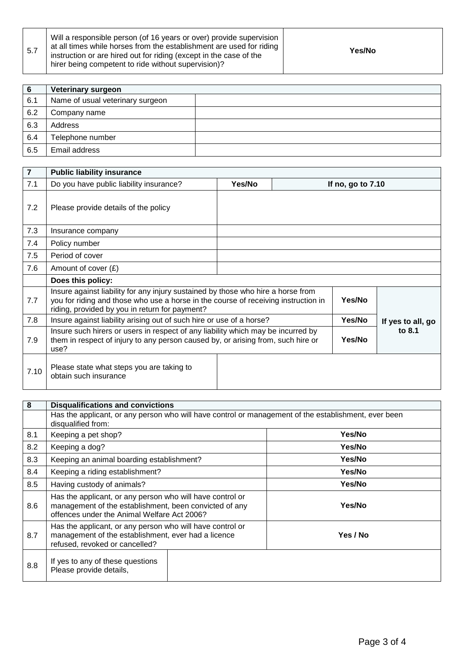| 5.7 | Will a responsible person (of 16 years or over) provide supervision<br>at all times while horses from the establishment are used for riding<br>instruction or are hired out for riding (except in the case of the<br>hirer being competent to ride without supervision)? | Yes/No |
|-----|--------------------------------------------------------------------------------------------------------------------------------------------------------------------------------------------------------------------------------------------------------------------------|--------|
|-----|--------------------------------------------------------------------------------------------------------------------------------------------------------------------------------------------------------------------------------------------------------------------------|--------|

| -6  | Veterinary surgeon               |  |
|-----|----------------------------------|--|
| 6.1 | Name of usual veterinary surgeon |  |
| 6.2 | Company name                     |  |
| 6.3 | Address                          |  |
| 6.4 | Telephone number                 |  |
| 6.5 | Email address                    |  |

| $\overline{7}$ | <b>Public liability insurance</b>                                                                                                                                                                                        |        |                     |                   |
|----------------|--------------------------------------------------------------------------------------------------------------------------------------------------------------------------------------------------------------------------|--------|---------------------|-------------------|
| 7.1            | Do you have public liability insurance?                                                                                                                                                                                  | Yes/No | If no, go to $7.10$ |                   |
| 7.2            | Please provide details of the policy                                                                                                                                                                                     |        |                     |                   |
| 7.3            | Insurance company                                                                                                                                                                                                        |        |                     |                   |
| 7.4            | Policy number                                                                                                                                                                                                            |        |                     |                   |
| 7.5            | Period of cover                                                                                                                                                                                                          |        |                     |                   |
| 7.6            | Amount of cover $(E)$                                                                                                                                                                                                    |        |                     |                   |
|                | Does this policy:                                                                                                                                                                                                        |        |                     |                   |
| 7.7            | Insure against liability for any injury sustained by those who hire a horse from<br>you for riding and those who use a horse in the course of receiving instruction in<br>riding, provided by you in return for payment? |        | Yes/No              |                   |
| 7.8            | Insure against liability arising out of such hire or use of a horse?                                                                                                                                                     |        | Yes/No              | If yes to all, go |
| 7.9            | Insure such hirers or users in respect of any liability which may be incurred by<br>them in respect of injury to any person caused by, or arising from, such hire or<br>use?                                             |        | Yes/No              | to 8.1            |
| 7.10           | Please state what steps you are taking to<br>obtain such insurance                                                                                                                                                       |        |                     |                   |

| 8   | <b>Disqualifications and convictions</b>                                                                                                                           |          |  |
|-----|--------------------------------------------------------------------------------------------------------------------------------------------------------------------|----------|--|
|     | Has the applicant, or any person who will have control or management of the establishment, ever been<br>disqualified from:                                         |          |  |
| 8.1 | Keeping a pet shop?                                                                                                                                                | Yes/No   |  |
| 8.2 | Keeping a dog?                                                                                                                                                     | Yes/No   |  |
| 8.3 | Keeping an animal boarding establishment?                                                                                                                          | Yes/No   |  |
| 8.4 | Keeping a riding establishment?                                                                                                                                    | Yes/No   |  |
| 8.5 | Having custody of animals?                                                                                                                                         | Yes/No   |  |
| 8.6 | Has the applicant, or any person who will have control or<br>management of the establishment, been convicted of any<br>offences under the Animal Welfare Act 2006? | Yes/No   |  |
| 8.7 | Has the applicant, or any person who will have control or<br>management of the establishment, ever had a licence<br>refused, revoked or cancelled?                 | Yes / No |  |
| 8.8 | If yes to any of these questions<br>Please provide details,                                                                                                        |          |  |